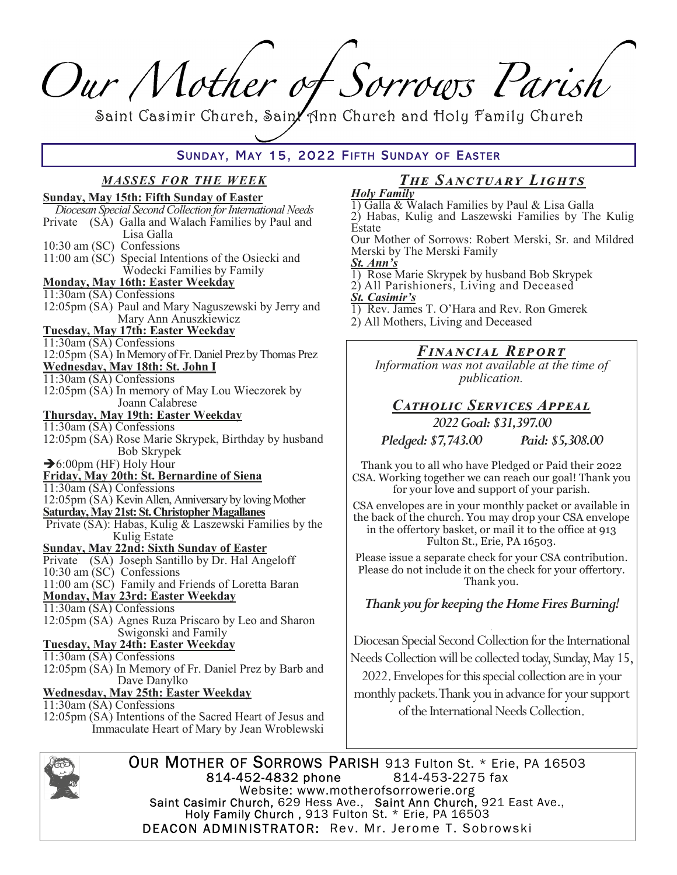Our Mother of Sorrows Parish

Saint Casimir Church, Sain/ Ann Church and Holy Family Church

## SUNDAY, MAY 15, 2022 FIFTH SUNDAY OF EASTER

# **MASSES FOR THE WEEK**

| <b>Sunday, May 15th: Fifth Sunday of Easter</b>                                       |
|---------------------------------------------------------------------------------------|
| Diocesan Special Second Collection for International Needs                            |
| (SA) Galla and Walach Families by Paul and<br>Private                                 |
| Lisa Galla                                                                            |
| 10:30 am (SC) Confessions                                                             |
| 11:00 am (SC) Special Intentions of the Osiecki and                                   |
| Wodecki Families by Family                                                            |
| <b>Monday, May 16th: Easter Weekday</b>                                               |
| 11:30am (SA) Confessions                                                              |
| 12:05pm (SA) Paul and Mary Naguszewski by Jerry and                                   |
| Mary Ann Anuszkiewicz                                                                 |
| <b>Tuesday, May 17th: Easter Weekday</b>                                              |
| 11:30am (SA) Confessions                                                              |
| 12:05pm (SA) In Memory of Fr. Daniel Prez by Thomas Prez                              |
| <u> Wednesday, May 18th: St. John I</u>                                               |
| 11:30am (SA) Confessions                                                              |
| 12:05pm (SA) In memory of May Lou Wieczorek by                                        |
| Joann Calabrese                                                                       |
| <b>Thursday, May 19th: Easter Weekday</b>                                             |
| 11:30am (SA) Confessions                                                              |
| 12:05pm (SA) Rose Marie Skrypek, Birthday by husband                                  |
| Bob Skrypek                                                                           |
| $\rightarrow$ 6:00pm (HF) Holy Hour                                                   |
| Friday, May 20th: St. Bernardine of Siena                                             |
| 11:30am (SA) Confessions                                                              |
| 12:05pm (SA) Kevin Allen, Anniversary by loving Mother                                |
| <b>Saturday, May 21st: St. Christopher Magallanes</b>                                 |
| Private (SA): Habas, Kulig & Laszewski Families by the                                |
| Kulig Estate                                                                          |
| <b>Sunday, May 22nd: Sixth Sunday of Easter</b>                                       |
| Private (SA) Joseph Santillo by Dr. Hal Angeloff                                      |
| 10:30 am (SC) Confessions                                                             |
| 11:00 am (SC) Family and Friends of Loretta Baran<br>Monday, May 23rd: Easter Weekday |
|                                                                                       |
| 11:30am (SA) Confessions                                                              |
| 12:05pm (SA) Agnes Ruza Priscaro by Leo and Sharon                                    |
| Swigonski and Family                                                                  |
| <b>Tuesday, May 24th: Easter Weekday</b>                                              |
| 11:30am (SA) Confessions                                                              |
| 12:05pm (SA) In Memory of Fr. Daniel Prez by Barb and                                 |
| Dave Danylko                                                                          |
| <b>Wednesday, May 25th: Easter Weekday</b>                                            |
| 11:30am (SA) Confessions                                                              |
| 12:05pm (SA) Intentions of the Sacred Heart of Jesus and                              |
| Immaculate Heart of Mary by Jean Wroblewski                                           |

#### The SANCTUARY LIGHTS **Holy Family**

1) Galla & Walach Families by Paul & Lisa Galla 2) Habas, Kulig and Laszewski Families by The Kulig Estate

Our Mother of Sorrows: Robert Merski, Sr. and Mildred Merski by The Merski Family

- St. Ann's
- 1) Rose Marie Skrypek by husband Bob Skrypek
- 2) All Parishioners, Living and Deceased
- **<u>St. Casimir's</u>**
- 1) Rev. James T. O'Hara and Rev. Ron Gmerek
- 2) All Mothers, Living and Deceased

## FINANCIAL REPORT

Information was not available at the time of *publication.* 

## CATHOLIC SERVICES APPEAL

2022 Goal: \$31,397.00

Pledged: \$7,743.00 Paid: \$5,308.00

Thank you to all who have Pledged or Paid their 2022 CSA. Working together we can reach our goal! Thank you for your love and support of your parish.

CSA envelopes are in your monthly packet or available in the back of the church. You may drop your CSA envelope in the offertory basket, or mail it to the office at 913 Fulton St., Erie, PA 16503.

Please issue a separate check for your CSA contribution. Please do not include it on the check for your offertory. Thank you.

### Thank you for keeping the Home Fires Burning!

Diocesan Special Second Collection for the International Needs Collection will be collected today, Sunday, May 15,

2022. Envelopes for this special collection are in your monthly packets. Thank you in advance for your support of the International Needs Collection.



OUR MOTHER OF SORROWS PARISH 913 Fulton St. \* Erie, PA 16503 814-452-4832 phone 814-453-2275 fax Website: www.motherofsorrowerie.org Saint Casimir Church, 629 Hess Ave., Saint Ann Church, 921 East Ave.,<br>Holy Family Church, 913 Fulton St. \* Erie, PA 16503 **DEACON ADMINISTRATOR:** Rev. Mr. Jerome T. Sobrowski